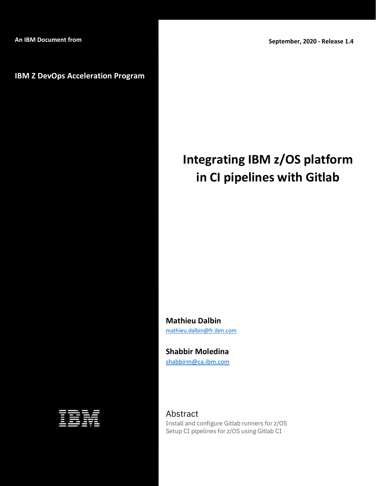## **IBM Z DevOps Acceleration Program**

# **Integrating IBM z/OS platform in CI pipelines with Gitlab**

**Mathieu Dalbin**  [mathieu.dalbin@fr.ibm.com](mailto:mathieu.dalbin@fr.ibm.com)

**Shabbir Moledina** [shabbirm@ca.ibm.com](mailto:shabbirm@ca.ibm.com)

Abstract

Install and configure Gitlab runners for z/OS Setup CI pipelines for z/OS using Gitlab CI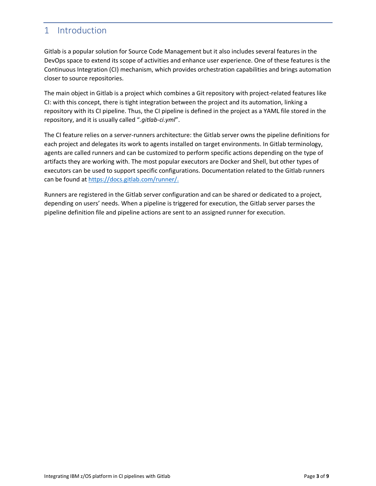# <span id="page-2-0"></span>1 Introduction

Gitlab is a popular solution for Source Code Management but it also includes several features in the DevOps space to extend its scope of activities and enhance user experience. One of these features is the Continuous Integration (CI) mechanism, which provides orchestration capabilities and brings automation closer to source repositories.

The main object in Gitlab is a project which combines a Git repository with project-related features like CI: with this concept, there is tight integration between the project and its automation, linking a repository with its CI pipeline. Thus, the CI pipeline is defined in the project as a YAML file stored in the repository, and it is usually called "*.gitlab-ci.yml*".

The CI feature relies on a server-runners architecture: the Gitlab server owns the pipeline definitions for each project and delegates its work to agents installed on target environments. In Gitlab terminology, agents are called runners and can be customized to perform specific actions depending on the type of artifacts they are working with. The most popular executors are Docker and Shell, but other types of executors can be used to support specific configurations. Documentation related to the Gitlab runners can be found at [https://docs.gitlab.com/runner/.](https://docs.gitlab.com/runner/)

Runners are registered in the Gitlab server configuration and can be shared or dedicated to a project, depending on users' needs. When a pipeline is triggered for execution, the Gitlab server parses the pipeline definition file and pipeline actions are sent to an assigned runner for execution.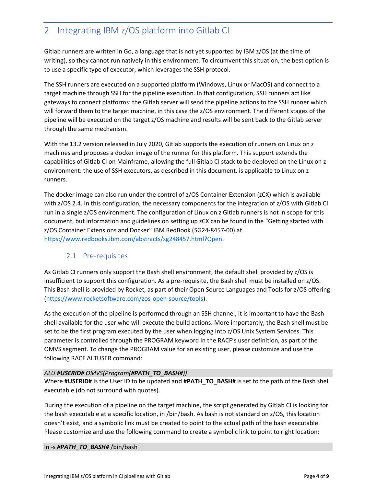# <span id="page-3-0"></span>2 Integrating IBM z/OS platform into Gitlab CI

Gitlab runners are written in Go, a language that is not yet supported by IBM z/OS (at the time of writing), so they cannot run natively in this environment. To circumvent this situation, the best option is to use a specific type of executor, which leverages the SSH protocol.

The SSH runners are executed on a supported platform (Windows, Linux or MacOS) and connect to a target machine through SSH for the pipeline execution. In that configuration, SSH runners act like gateways to connect platforms: the Gitlab server will send the pipeline actions to the SSH runner which will forward them to the target machine, in this case the z/OS environment. The different stages of the pipeline will be executed on the target z/OS machine and results will be sent back to the Gitlab server through the same mechanism.

With the 13.2 version released in July 2020, Gitlab supports the execution of runners on Linux on z machines and proposes a docker image of the runner for this platform. This support extends the capabilities of Gitlab CI on Mainframe, allowing the full Gitlab CI stack to be deployed on the Linux on z environment: the use of SSH executors, as described in this document, is applicable to Linux on z runners.

The docker image can also run under the control of z/OS Container Extension (zCX) which is available with z/OS 2.4. In this configuration, the necessary components for the integration of z/OS with Gitlab CI run in a single z/OS environment. The configuration of Linux on z Gitlab runners is not in scope for this document, but information and guidelines on setting up zCX can be found in the "Getting started with z/OS Container Extensions and Docker" IBM RedBook (SG24-8457-00) at [https://www.redbooks.ibm.com/abstracts/sg248457.html?Open.](https://www.redbooks.ibm.com/abstracts/sg248457.html?Open)

## <span id="page-3-1"></span>2.1 Pre-requisites

As Gitlab CI runners only support the Bash shell environment, the default shell provided by z/OS is insufficient to support this configuration. As a pre-requisite, the Bash shell must be installed on z/OS. This Bash shell is provided by Rocket, as part of their Open Source Languages and Tools for z/OS offering [\(https://www.rocketsoftware.com/zos-open-source/tools\)](https://www.rocketsoftware.com/zos-open-source/tools).

As the execution of the pipeline is performed through an SSH channel, it is important to have the Bash shell available for the user who will execute the build actions. More importantly, the Bash shell must be set to be the first program executed by the user when logging into z/OS Unix System Services. This parameter is controlled through the PROGRAM keyword in the RACF's user definition, as part of the OMVS segment. To change the PROGRAM value for an existing user, please customize and use the following RACF ALTUSER command:

#### *ALU #USERID# OMVS(Program(#PATH\_TO\_BASH#))*

Where **#USERID#** is the User ID to be updated and **#PATH\_TO\_BASH#** is set to the path of the Bash shell executable (do not surround with quotes).

During the execution of a pipeline on the target machine, the script generated by Gitlab CI is looking for the bash executable at a specific location, in /bin/bash. As bash is not standard on z/OS, this location doesn't exist, and a symbolic link must be created to point to the actual path of the bash executable. Please customize and use the following command to create a symbolic link to point to right location:

#### ln -s *#PATH\_TO\_BASH#* /bin/bash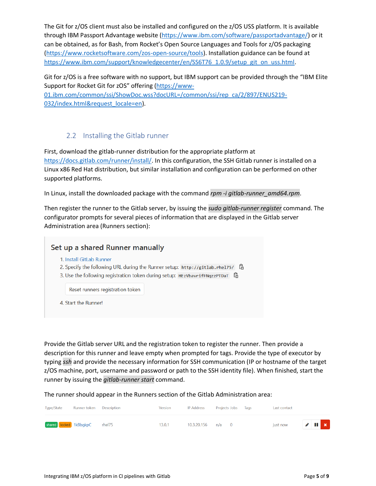The Git for z/OS client must also be installed and configured on the z/OS USS platform. It is available through IBM Passport Advantage website [\(https://www.ibm.com/software/passportadvantage/\)](https://www.ibm.com/software/passportadvantage/) or it can be obtained, as for Bash, from Rocket's Open Source Languages and Tools for z/OS packaging [\(https://www.rocketsoftware.com/zos-open-source/tools\)](https://www.rocketsoftware.com/zos-open-source/tools). Installation guidance can be found at [https://www.ibm.com/support/knowledgecenter/en/SS6T76\\_1.0.9/setup\\_git\\_on\\_uss.html.](https://www.ibm.com/support/knowledgecenter/en/SS6T76_1.0.9/setup_git_on_uss.html)

Git for z/OS is a free software with no support, but IBM support can be provided through the "IBM Elite Support for Rocket Git for zOS" offering ([https://www-](https://www-01.ibm.com/common/ssi/ShowDoc.wss?docURL=/common/ssi/rep_ca/2/897/ENUS219-032/index.html&request_locale=en)

[01.ibm.com/common/ssi/ShowDoc.wss?docURL=/common/ssi/rep\\_ca/2/897/ENUS219-](https://www-01.ibm.com/common/ssi/ShowDoc.wss?docURL=/common/ssi/rep_ca/2/897/ENUS219-032/index.html&request_locale=en) [032/index.html&request\\_locale=en\)](https://www-01.ibm.com/common/ssi/ShowDoc.wss?docURL=/common/ssi/rep_ca/2/897/ENUS219-032/index.html&request_locale=en).

## 2.2 Installing the Gitlab runner

<span id="page-4-0"></span>First, download the gitlab-runner distribution for the appropriate platform at [https://docs.gitlab.com/runner/install/.](https://docs.gitlab.com/runner/install/) In this configuration, the SSH Gitlab runner is installed on a Linux x86 Red Hat distribution, but similar installation and configuration can be performed on other supported platforms.

In Linux, install the downloaded package with the command *rpm -i gitlab-runner\_amd64.rpm*.

Then register the runner to the Gitlab server, by issuing the *sudo gitlab-runner register* command. The configurator prompts for several pieces of information that are displayed in the Gitlab server Administration area (Runners section):

| Set up a shared Runner manually                                                                                                                                                                  |
|--------------------------------------------------------------------------------------------------------------------------------------------------------------------------------------------------|
| 1. Install GitLab Runner<br>ĥ<br>2. Specify the following URL during the Runner setup: http://gitlab.rhe175/<br>C.<br>3. Use the following registration token during setup: HEzVbavrifFNgzzPTDaT |
| Reset runners registration token                                                                                                                                                                 |
| 4. Start the Runner!                                                                                                                                                                             |

Provide the Gitlab server URL and the registration token to register the runner. Then provide a description for this runner and leave empty when prompted for tags. Provide the type of executor by typing *ssh* and provide the necessary information for SSH communication (IP or hostname of the target z/OS machine, port, username and password or path to the SSH identity file). When finished, start the runner by issuing the *gitlab-runner start* command.

The runner should appear in the Runners section of the Gitlab Administration area:

| Type/State | Runner token Description      | Version | <b>IP Address</b> | Projects Jobs Tags | Last contact |                |  |
|------------|-------------------------------|---------|-------------------|--------------------|--------------|----------------|--|
|            | shared locked 1kBbgkpC rhel75 | 13.0.1  | 10.3.20.156 n/a 0 |                    | just now     | $\sqrt{1 + x}$ |  |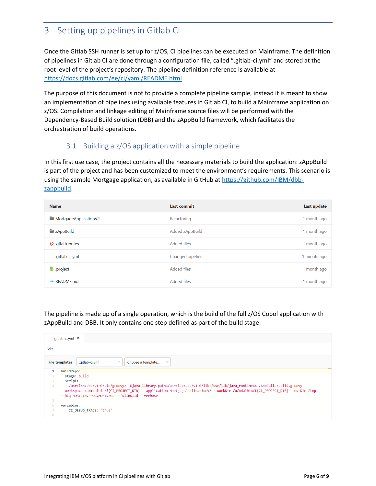# <span id="page-5-0"></span>3 Setting up pipelines in Gitlab CI

Once the Gitlab SSH runner is set up for z/OS, CI pipelines can be executed on Mainframe. The definition of pipelines in Gitlab CI are done through a configuration file, called ".gitlab-ci.yml" and stored at the root level of the project's repository. The pipeline definition reference is available at <https://docs.gitlab.com/ee/ci/yaml/README.html>

The purpose of this document is not to provide a complete pipeline sample, instead it is meant to show an implementation of pipelines using available features in Gitlab CI, to build a Mainframe application on z/OS. Compilation and linkage editing of Mainframe source files will be performed with the Dependency-Based Build solution (DBB) and the zAppBuild framework, which facilitates the orchestration of build operations.

## 3.1 Building a z/OS application with a simple pipeline

<span id="page-5-1"></span>In this first use case, the project contains all the necessary materials to build the application: zAppBuild is part of the project and has been customized to meet the environment's requirements. This scenario is using the sample Mortgage application, as available in GitHub at [https://github.com/IBM/dbb](https://github.com/IBM/dbb-zappbuild)[zappbuild.](https://github.com/IBM/dbb-zappbuild)

| <b>Name</b>             | Last commit        | Last update  |
|-------------------------|--------------------|--------------|
| MortgageApplicationV2   | Refactoring        | 1 month ago  |
| zAppBuild               | Added zAppBuild    | 1 month ago  |
| <b>W</b> .gitattributes | Added files        | 1 month ago  |
| .gitlab-ci.yml          | Changed pipeline   | 1 minute ago |
| $\bullet$ project       | <b>Added files</b> | 1 month ago  |
| M+ RFADMF.md            | <b>Added files</b> | 1 month ago  |

The pipeline is made up of a single operation, which is the build of the full z/OS Cobol application with zAppBuild and DBB. It only contains one step defined as part of the build stage:

|                                                                                                                                                                                                                                                                                                                                       | .qitlab-ci.yml ×                                                                               |  |  |  |
|---------------------------------------------------------------------------------------------------------------------------------------------------------------------------------------------------------------------------------------------------------------------------------------------------------------------------------------|------------------------------------------------------------------------------------------------|--|--|--|
| Edit                                                                                                                                                                                                                                                                                                                                  |                                                                                                |  |  |  |
|                                                                                                                                                                                                                                                                                                                                       | Choose a template<br><b>File templates</b><br>.gitlab-ci.yml<br>$\mathcal{A}$<br>$\mathcal{S}$ |  |  |  |
| $\mathbf{1}$                                                                                                                                                                                                                                                                                                                          | buildRepo:                                                                                     |  |  |  |
|                                                                                                                                                                                                                                                                                                                                       | stage: build                                                                                   |  |  |  |
|                                                                                                                                                                                                                                                                                                                                       | script:                                                                                        |  |  |  |
| /usr/lpp/dbb/v1r0/bin/groovyz -Djava.library.path=/usr/lpp/dbb/v1r0/lib:/usr/lib/java_runtime64_zAppBuild/build.groovy_<br>$\overline{4}$<br>--workspace /u/mdalbin/\${CI PROJECT DIR} --application MortgageApplicationV2 --workDir /u/mdalbin/\${CI PROJECT DIR} --outDir /tmp<br>--hlg MDALBIN.PROG.MORTV2GL --fullBuild --verbose |                                                                                                |  |  |  |
| 5                                                                                                                                                                                                                                                                                                                                     |                                                                                                |  |  |  |
|                                                                                                                                                                                                                                                                                                                                       | variables:                                                                                     |  |  |  |
|                                                                                                                                                                                                                                                                                                                                       | CI DEBUG TRACE: "true"                                                                         |  |  |  |
| 8                                                                                                                                                                                                                                                                                                                                     |                                                                                                |  |  |  |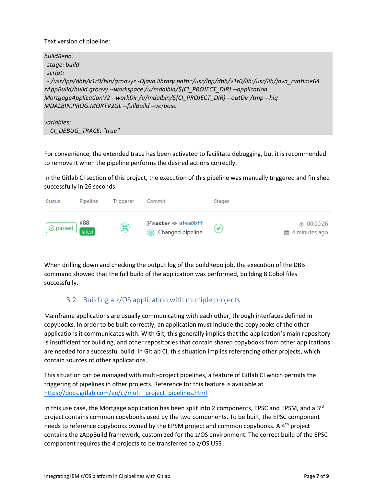Text version of pipeline:

| buildRepo:                                                                                      |
|-------------------------------------------------------------------------------------------------|
| stage: build                                                                                    |
| script:                                                                                         |
| -/usr/lpp/dbb/v1r0/bin/qroovyz-Djava.library.path=/usr/lpp/dbb/v1r0/lib:/usr/lib/java_runtime64 |
| zAppBuild/build.groovy --workspace /u/mdalbin/\${CI_PROJECT_DIR} --application                  |
| MortgageApplicationV2 --workDir /u/mdalbin/\${Cl_PROJECT_DIR} --outDir /tmp --hlq               |
| MDALBIN.PROG.MORTV2GL --fullBuild --verbose                                                     |
|                                                                                                 |

*variables: CI\_DEBUG\_TRACE: "true"*

For convenience, the extended trace has been activated to facilitate debugging, but it is recommended to remove it when the pipeline performs the desired actions correctly.

In the Gitlab CI section of this project, the execution of this pipeline was manually triggered and finished successfully in 26 seconds:



When drilling down and checking the output log of the buildRepo job, the execution of the DBB command showed that the full build of the application was performed, building 8 Cobol files successfully.

## 3.2 Building a z/OS application with multiple projects

<span id="page-6-0"></span>Mainframe applications are usually communicating with each other, through interfaces defined in copybooks. In order to be built correctly, an application must include the copybooks of the other applications it communicates with. With Git, this generally implies that the application's main repository is insufficient for building, and other repositories that contain shared copybooks from other applications are needed for a successful build. In Gitlab CI, this situation implies referencing other projects, which contain sources of other applications.

This situation can be managed with multi-project pipelines, a feature of Gitlab CI which permits the triggering of pipelines in other projects. Reference for this feature is available at [https://docs.gitlab.com/ee/ci/multi\\_project\\_pipelines.html](https://docs.gitlab.com/ee/ci/multi_project_pipelines.html)

In this use case, the Mortgage application has been split into 2 components, EPSC and EPSM, and a  $3<sup>rd</sup>$ project contains common copybooks used by the two components. To be built, the EPSC component needs to reference copybooks owned by the EPSM project and common copybooks. A 4<sup>th</sup> project contains the zAppBuild framework, customized for the z/OS environment. The correct build of the EPSC component requires the 4 projects to be transferred to z/OS USS.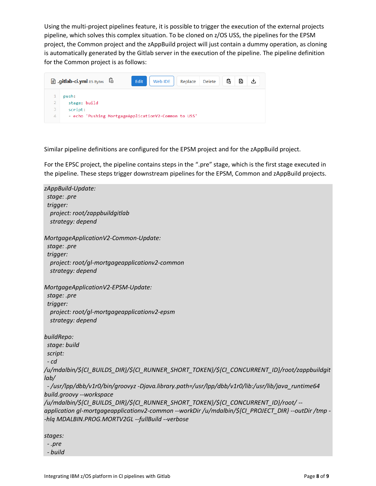Using the multi-project pipelines feature, it is possible to trigger the execution of the external projects pipeline, which solves this complex situation. To be cloned on z/OS USS, the pipelines for the EPSM project, the Common project and the zAppBuild project will just contain a dummy operation, as cloning is automatically generated by the Gitlab server in the execution of the pipeline. The pipeline definition for the Common project is as follows:



Similar pipeline definitions are configured for the EPSM project and for the zAppBuild project.

For the EPSC project, the pipeline contains steps in the ".pre" stage, which is the first stage executed in the pipeline. These steps trigger downstream pipelines for the EPSM, Common and zAppBuild projects.

*zAppBuild-Update: stage: .pre trigger: project: root/zappbuildgitlab strategy: depend MortgageApplicationV2-Common-Update: stage: .pre trigger: project: root/gl-mortgageapplicationv2-common strategy: depend MortgageApplicationV2-EPSM-Update: stage: .pre trigger: project: root/gl-mortgageapplicationv2-epsm strategy: depend buildRepo: stage: build script: - cd /u/mdalbin/\${CI\_BUILDS\_DIR}/\${CI\_RUNNER\_SHORT\_TOKEN}/\${CI\_CONCURRENT\_ID}/root/zappbuildgit lab/ - /usr/lpp/dbb/v1r0/bin/groovyz -Djava.library.path=/usr/lpp/dbb/v1r0/lib:/usr/lib/java\_runtime64 build.groovy --workspace /u/mdalbin/\${CI\_BUILDS\_DIR}/\${CI\_RUNNER\_SHORT\_TOKEN}/\${CI\_CONCURRENT\_ID}/root/ - application gl-mortgageapplicationv2-common --workDir /u/mdalbin/\${CI\_PROJECT\_DIR} --outDir /tmp - -hlq MDALBIN.PROG.MORTV2GL --fullBuild --verbose stages:*

 *- .pre*

 *- build*